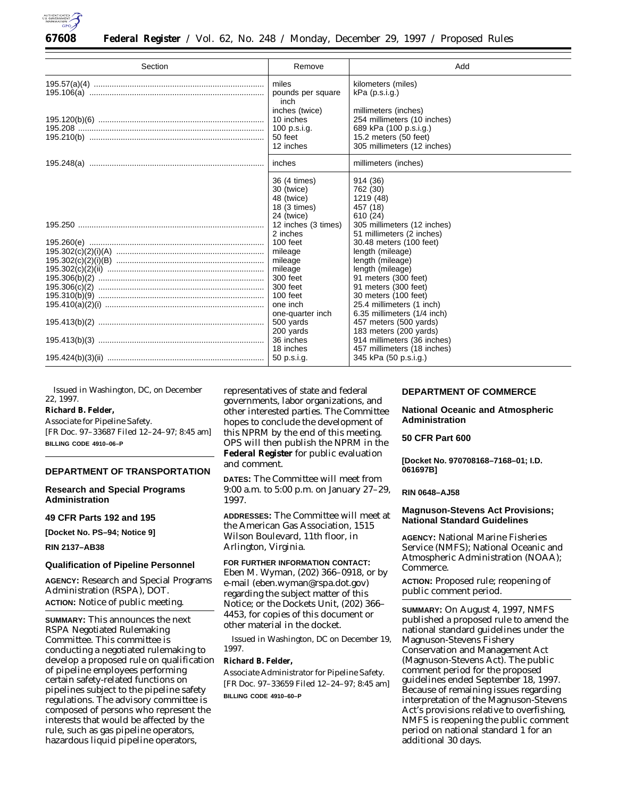

| Section | Remove                                                                 | Add                                                                                                                                     |
|---------|------------------------------------------------------------------------|-----------------------------------------------------------------------------------------------------------------------------------------|
|         | miles<br>pounds per square<br>inch                                     | kilometers (miles)<br>$kPa$ (p.s.i.g.)                                                                                                  |
|         | inches (twice)<br>10 inches<br>100 $p.s.i.g.$<br>50 feet<br>12 inches  | millimeters (inches)<br>254 millimeters (10 inches)<br>689 kPa (100 p.s.i.g.)<br>15.2 meters $(50$ feet)<br>305 millimeters (12 inches) |
|         | inches                                                                 | millimeters (inches)                                                                                                                    |
|         | 36 (4 times)<br>30 (twice)<br>48 (twice)<br>18 (3 times)<br>24 (twice) | 914 (36)<br>762 (30)<br>1219 (48)<br>457 (18)<br>610 (24)                                                                               |
|         | 12 inches (3 times)<br>2 inches                                        | 305 millimeters (12 inches)<br>51 millimeters (2 inches)                                                                                |
|         | 100 feet<br>mileage<br>mileage                                         | 30.48 meters (100 feet)<br>length (mileage)<br>length (mileage)                                                                         |
|         | mileage<br>300 feet<br>300 feet                                        | length (mileage)<br>91 meters (300 feet)<br>91 meters (300 feet)                                                                        |
|         | 100 feet<br>one inch                                                   | 30 meters (100 feet)<br>25.4 millimeters (1 inch)                                                                                       |
|         | one-quarter inch<br>500 yards<br>200 yards                             | 6.35 millimeters (1/4 inch)<br>457 meters (500 yards)<br>183 meters (200 yards)                                                         |
|         | 36 inches<br>18 inches                                                 | 914 millimeters (36 inches)<br>457 millimeters (18 inches)                                                                              |
|         |                                                                        | 345 kPa (50 p.s.i.g.)                                                                                                                   |

Issued in Washington, DC, on December 22, 1997.

# **Richard B. Felder,**

*Associate for Pipeline Safety.* [FR Doc. 97–33687 Filed 12–24–97; 8:45 am] **BILLING CODE 4910–06–P**

## **DEPARTMENT OF TRANSPORTATION**

#### **Research and Special Programs Administration**

**49 CFR Parts 192 and 195**

**[Docket No. PS–94; Notice 9]**

## **RIN 2137–AB38**

#### **Qualification of Pipeline Personnel**

**AGENCY:** Research and Special Programs Administration (RSPA), DOT. **ACTION:** Notice of public meeting.

**SUMMARY:** This announces the next RSPA Negotiated Rulemaking Committee. This committee is conducting a negotiated rulemaking to develop a proposed rule on qualification of pipeline employees performing certain safety-related functions on pipelines subject to the pipeline safety regulations. The advisory committee is composed of persons who represent the interests that would be affected by the rule, such as gas pipeline operators, hazardous liquid pipeline operators,

representatives of state and federal governments, labor organizations, and other interested parties. The Committee hopes to conclude the development of this NPRM by the end of this meeting. OPS will then publish the NPRM in the **Federal Register** for public evaluation and comment.

**DATES:** The Committee will meet from 9:00 a.m. to 5:00 p.m. on January 27–29, 1997.

**ADDRESSES:** The Committee will meet at the American Gas Association, 1515 Wilson Boulevard, 11th floor, in Arlington, Virginia.

# **FOR FURTHER INFORMATION CONTACT:** Eben M. Wyman, (202) 366–0918, or by e-mail (eben.wyman@rspa.dot.gov) regarding the subject matter of this Notice; or the Dockets Unit, (202) 366– 4453, for copies of this document or other material in the docket.

Issued in Washington, DC on December 19, 1997.

# **Richard B. Felder,**

*Associate Administrator for Pipeline Safety.* [FR Doc. 97–33659 Filed 12–24–97; 8:45 am] **BILLING CODE 4910–60–P**

# **DEPARTMENT OF COMMERCE**

**National Oceanic and Atmospheric Administration**

#### **50 CFR Part 600**

**[Docket No. 970708168–7168–01; I.D. 061697B]**

#### **RIN 0648–AJ58**

## **Magnuson-Stevens Act Provisions; National Standard Guidelines**

**AGENCY:** National Marine Fisheries Service (NMFS); National Oceanic and Atmospheric Administration (NOAA); Commerce.

**ACTION:** Proposed rule; reopening of public comment period.

**SUMMARY:** On August 4, 1997, NMFS published a proposed rule to amend the national standard guidelines under the Magnuson-Stevens Fishery Conservation and Management Act (Magnuson-Stevens Act). The public comment period for the proposed guidelines ended September 18, 1997. Because of remaining issues regarding interpretation of the Magnuson-Stevens Act's provisions relative to overfishing, NMFS is reopening the public comment period on national standard 1 for an additional 30 days.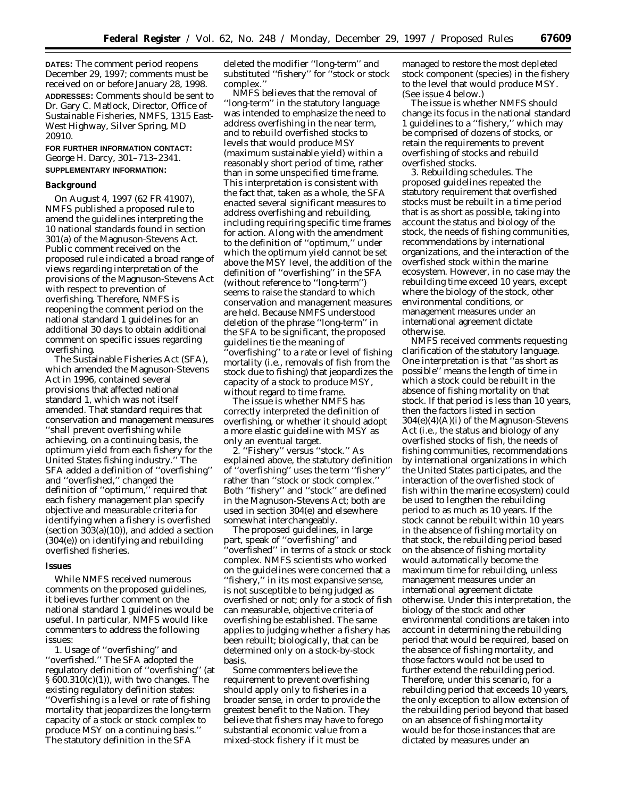**DATES:** The comment period reopens December 29, 1997; comments must be received on or before January 28, 1998. **ADDRESSES:** Comments should be sent to Dr. Gary C. Matlock, Director, Office of Sustainable Fisheries, NMFS, 1315 East-West Highway, Silver Spring, MD 20910.

**FOR FURTHER INFORMATION CONTACT:** George H. Darcy, 301–713–2341. **SUPPLEMENTARY INFORMATION:**

#### **Background**

On August 4, 1997 (62 FR 41907), NMFS published a proposed rule to amend the guidelines interpreting the 10 national standards found in section 301(a) of the Magnuson-Stevens Act. Public comment received on the proposed rule indicated a broad range of views regarding interpretation of the provisions of the Magnuson-Stevens Act with respect to prevention of overfishing. Therefore, NMFS is reopening the comment period on the national standard 1 guidelines for an additional 30 days to obtain additional comment on specific issues regarding overfishing.

The Sustainable Fisheries Act (SFA), which amended the Magnuson-Stevens Act in 1996, contained several provisions that affected national standard 1, which was not itself amended. That standard requires that conservation and management measures ''shall prevent overfishing while achieving, on a continuing basis, the optimum yield from each fishery for the United States fishing industry.'' The SFA added a definition of ''overfishing'' and ''overfished,'' changed the definition of ''optimum,'' required that each fishery management plan specify objective and measurable criteria for identifying when a fishery is overfished (section 303(a)(10)), and added a section (304(e)) on identifying and rebuilding overfished fisheries.

#### **Issues**

While NMFS received numerous comments on the proposed guidelines, it believes further comment on the national standard 1 guidelines would be useful. In particular, NMFS would like commenters to address the following issues:

1. Usage of ''overfishing'' and ''overfished.'' The SFA adopted the regulatory definition of ''overfishing'' (at § 600.310(c)(1)), with two changes. The existing regulatory definition states: ''Overfishing is a level or rate of fishing mortality that jeopardizes the long-term capacity of a stock or stock complex to produce MSY on a continuing basis.'' The statutory definition in the SFA

deleted the modifier ''long-term'' and substituted ''fishery'' for ''stock or stock complex.''

NMFS believes that the removal of ''long-term'' in the statutory language was intended to emphasize the need to address overfishing in the near term, and to rebuild overfished stocks to levels that would produce MSY (maximum sustainable yield) within a reasonably short period of time, rather than in some unspecified time frame. This interpretation is consistent with the fact that, taken as a whole, the SFA enacted several significant measures to address overfishing and rebuilding, including requiring specific time frames for action. Along with the amendment to the definition of ''optimum,'' under which the optimum yield cannot be set above the MSY level, the addition of the definition of ''overfishing'' in the SFA (without reference to ''long-term'') seems to raise the standard to which conservation and management measures are held. Because NMFS understood deletion of the phrase ''long-term'' in the SFA to be significant, the proposed guidelines tie the meaning of 'overfishing'' to a rate or level of fishing mortality (i.e., removals of fish from the stock due to fishing) that jeopardizes the capacity of a stock to produce MSY, without regard to time frame.

The issue is whether NMFS has correctly interpreted the definition of overfishing, or whether it should adopt a more elastic guideline with MSY as only an eventual target.

2. ''Fishery'' versus ''stock.'' As explained above, the statutory definition of ''overfishing'' uses the term ''fishery'' rather than ''stock or stock complex.'' Both ''fishery'' and ''stock'' are defined in the Magnuson-Stevens Act; both are used in section 304(e) and elsewhere somewhat interchangeably.

The proposed guidelines, in large part, speak of ''overfishing'' and 'overfished'' in terms of a stock or stock complex. NMFS scientists who worked on the guidelines were concerned that a ''fishery,'' in its most expansive sense, is not susceptible to being judged as overfished or not; only for a stock of fish can measurable, objective criteria of overfishing be established. The same applies to judging whether a fishery has been rebuilt; biologically, that can be determined only on a stock-by-stock basis.

Some commenters believe the requirement to prevent overfishing should apply only to fisheries in a broader sense, in order to provide the greatest benefit to the Nation. They believe that fishers may have to forego substantial economic value from a mixed-stock fishery if it must be

managed to restore the most depleted stock component (species) in the fishery to the level that would produce MSY. (See issue 4 below.)

The issue is whether NMFS should change its focus in the national standard 1 guidelines to a ''fishery,'' which may be comprised of dozens of stocks, or retain the requirements to prevent overfishing of stocks and rebuild overfished stocks.

3. Rebuilding schedules. The proposed guidelines repeated the statutory requirement that overfished stocks must be rebuilt in a time period that is as short as possible, taking into account the status and biology of the stock, the needs of fishing communities, recommendations by international organizations, and the interaction of the overfished stock within the marine ecosystem. However, in no case may the rebuilding time exceed 10 years, except where the biology of the stock, other environmental conditions, or management measures under an international agreement dictate otherwise.

NMFS received comments requesting clarification of the statutory language. One interpretation is that ''as short as possible'' means the length of time in which a stock could be rebuilt in the absence of fishing mortality on that stock. If that period is less than 10 years, then the factors listed in section 304(e)(4)(A)(i) of the Magnuson-Stevens Act (i.e., the status and biology of any overfished stocks of fish, the needs of fishing communities, recommendations by international organizations in which the United States participates, and the interaction of the overfished stock of fish within the marine ecosystem) could be used to lengthen the rebuilding period to as much as 10 years. If the stock cannot be rebuilt within 10 years in the absence of fishing mortality on that stock, the rebuilding period based on the absence of fishing mortality would automatically become the maximum time for rebuilding, unless management measures under an international agreement dictate otherwise. Under this interpretation, the biology of the stock and other environmental conditions are taken into account in determining the rebuilding period that would be required, based on the absence of fishing mortality, and those factors would not be used to further extend the rebuilding period. Therefore, under this scenario, for a rebuilding period that exceeds 10 years, the only exception to allow extension of the rebuilding period beyond that based on an absence of fishing mortality would be for those instances that are dictated by measures under an